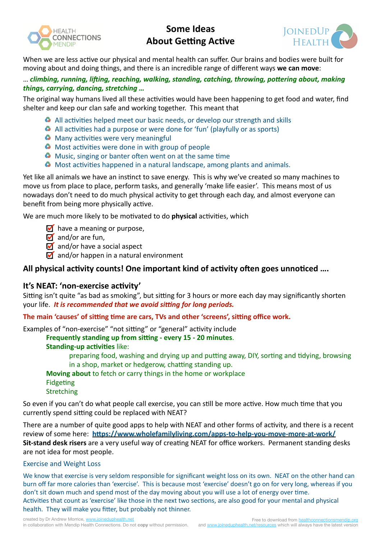

# **Some Ideas About Getting Active**



When we are less active our physical and mental health can suffer. Our brains and bodies were built for moving about and doing things, and there is an incredible range of different ways **we can move**:

## ... *climbing, running, lifting, reaching, walking, standing, catching, throwing, pottering about, making* things, carrying, dancing, stretching ...

The original way humans lived all these activities would have been happening to get food and water, find shelter and keep our clan safe and working together. This meant that

- $\bullet$  All activities helped meet our basic needs, or develop our strength and skills
- $\bullet$  All activities had a purpose or were done for 'fun' (playfully or as sports)
- $\bullet$  Many activities were very meaningful
- $\bullet$  Most activities were done in with group of people
- $\bullet$  Music, singing or banter often went on at the same time
- $\bullet$  Most activities happened in a natural landscape, among plants and animals.

Yet like all animals we have an instinct to save energy. This is why we've created so many machines to move us from place to place, perform tasks, and generally 'make life easier'. This means most of us nowadays don't need to do much physical activity to get through each day, and almost everyone can benefit from being more physically active.

We are much more likely to be motivated to do **physical** activities, which

- $\blacksquare$  have a meaning or purpose,
- $\overline{9}$  and/or are fun.
- $\blacksquare$  and/or have a social aspect
- $\overline{M}$  and/or happen in a natural environment

# All physical activity counts! One important kind of activity often goes unnoticed ....

## It's NEAT: 'non-exercise activity'

Sitting isn't quite "as bad as smoking", but sitting for 3 hours or more each day may significantly shorten your life. It is recommended that we avoid sitting for long periods.

## The main 'causes' of sitting time are cars, TVs and other 'screens', sitting office work.

Examples of "non-exercise" "not sitting" or "general" activity include

## **Frequently standing up from sitting - every 15 - 20 minutes.**

## **Standing-up activities like:**

preparing food, washing and drying up and putting away, DIY, sorting and tidying, browsing in a shop, market or hedgerow, chatting standing up.

**Moving about** to fetch or carry things in the home or workplace Fidgeting **Stretching** 

So even if you can't do what people call exercise, you can still be more active. How much time that you currently spend sitting could be replaced with NEAT?

There are a number of quite good apps to help with NEAT and other forms of activity, and there is a recent review of some here: https://www.wholefamilyliving.com/apps-to-help-you-move-more-at-work/ **Sit-stand desk risers** are a very useful way of creating NEAT for office workers. Permanent standing desks are not idea for most people.

## **Exercise and Weight Loss**

We know that exercise is very seldom responsible for significant weight loss on its own. NEAT on the other hand can burn off far more calories than 'exercise'. This is because most 'exercise' doesn't go on for very long, whereas if you don't sit down much and spend most of the day moving about you will use a lot of energy over time. Activities that count as 'exercise' like those in the next two sections, are also good for your mental and physical health. They will make you fitter, but probably not thinner.